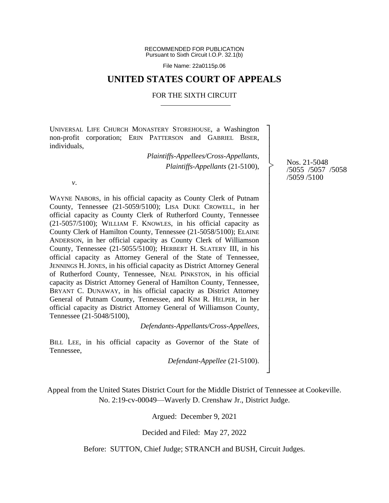RECOMMENDED FOR PUBLICATION Pursuant to Sixth Circuit I.O.P. 32.1(b)

File Name: 22a0115p.06

# **UNITED STATES COURT OF APPEALS**

#### FOR THE SIXTH CIRCUIT

UNIVERSAL LIFE CHURCH MONASTERY STOREHOUSE, a Washington non-profit corporation; ERIN PATTERSON and GABRIEL BISER, individuals,

> *Plaintiffs-Appellees/Cross-Appellants*, *Plaintiffs-Appellants* (21-5100),

*v*.

WAYNE NABORS, in his official capacity as County Clerk of Putnam County, Tennessee (21-5059/5100); LISA DUKE CROWELL, in her official capacity as County Clerk of Rutherford County, Tennessee (21-5057/5100); WILLIAM F. KNOWLES, in his official capacity as County Clerk of Hamilton County, Tennessee (21-5058/5100); ELAINE ANDERSON, in her official capacity as County Clerk of Williamson County, Tennessee (21-5055/5100); HERBERT H. SLATERY III, in his official capacity as Attorney General of the State of Tennessee, JENNINGS H. JONES, in his official capacity as District Attorney General of Rutherford County, Tennessee, NEAL PINKSTON, in his official capacity as District Attorney General of Hamilton County, Tennessee, BRYANT C. DUNAWAY, in his official capacity as District Attorney General of Putnam County, Tennessee, and KIM R. HELPER, in her official capacity as District Attorney General of Williamson County, Tennessee (21-5048/5100),

*Defendants-Appellants/Cross-Appellees*,

BILL LEE, in his official capacity as Governor of the State of Tennessee,

*Defendant-Appellee* (21-5100).

Appeal from the United States District Court for the Middle District of Tennessee at Cookeville. No. 2:19-cv-00049—Waverly D. Crenshaw Jr., District Judge.

Argued: December 9, 2021

Decided and Filed: May 27, 2022

Before: SUTTON, Chief Judge; STRANCH and BUSH, Circuit Judges.

Nos. 21-5048 /5055 /5057 /5058 /5059 /5100

┐ │ │ │ │ │ │ │ │ │ │ │ │ │ │ │ │ │ │ │ │ │ │ │ │ │ │ │ │ ┘

|<br>|<br>|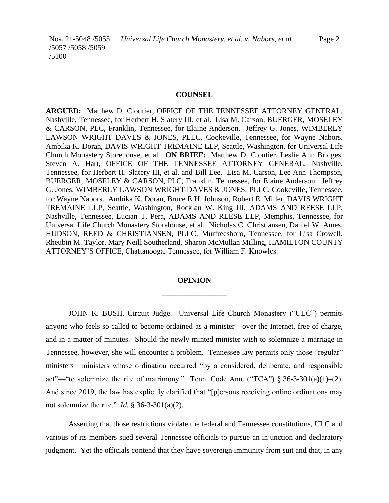Nos. 21-5048 /5055 /5057 /5058 /5059

/5100

### **COUNSEL**

\_\_\_\_\_\_\_\_\_\_\_\_\_\_\_\_\_

**ARGUED:** Matthew D. Cloutier, OFFICE OF THE TENNESSEE ATTORNEY GENERAL, Nashville, Tennessee, for Herbert H. Slatery III, et al. Lisa M. Carson, BUERGER, MOSELEY & CARSON, PLC, Franklin, Tennessee, for Elaine Anderson. Jeffrey G. Jones, WIMBERLY LAWSON WRIGHT DAVES & JONES, PLLC, Cookeville, Tennessee, for Wayne Nabors. Ambika K. Doran, DAVIS WRIGHT TREMAINE LLP, Seattle, Washington, for Universal Life Church Monastery Storehouse, et al. **ON BRIEF:** Matthew D. Cloutier, Leslie Ann Bridges, Steven A. Hart, OFFICE OF THE TENNESSEE ATTORNEY GENERAL, Nashville, Tennessee, for Herbert H. Slatery III, et al. and Bill Lee. Lisa M. Carson, Lee Ann Thompson, BUERGER, MOSELEY & CARSON, PLC, Franklin, Tennessee, for Elaine Anderson. Jeffrey G. Jones, WIMBERLY LAWSON WRIGHT DAVES & JONES, PLLC, Cookeville, Tennessee, for Wayne Nabors. Ambika K. Doran, Bruce E.H. Johnson, Robert E. Miller, DAVIS WRIGHT TREMAINE LLP, Seattle, Washington, Rocklan W. King III, ADAMS AND REESE LLP, Nashville, Tennessee, Lucian T. Pera, ADAMS AND REESE LLP, Memphis, Tennessee, for Universal Life Church Monastery Storehouse, et al. Nicholas C. Christiansen, Daniel W. Ames, HUDSON, REED & CHRISTIANSEN, PLLC, Murfreesboro, Tennessee, for Lisa Crowell. Rheubin M. Taylor, Mary Neill Southerland, Sharon McMullan Milling, HAMILTON COUNTY ATTORNEY'S OFFICE, Chattanooga, Tennessee, for William F. Knowles.

# **OPINION** \_\_\_\_\_\_\_\_\_\_\_\_\_\_\_\_\_

\_\_\_\_\_\_\_\_\_\_\_\_\_\_\_\_\_

JOHN K. BUSH, Circuit Judge. Universal Life Church Monastery ("ULC") permits anyone who feels so called to become ordained as a minister—over the Internet, free of charge, and in a matter of minutes. Should the newly minted minister wish to solemnize a marriage in Tennessee, however, she will encounter a problem. Tennessee law permits only those "regular" ministers—ministers whose ordination occurred "by a considered, deliberate, and responsible act"—"to solemnize the rite of matrimony." Tenn. Code Ann. ("TCA")  $\S 36-3-301(a)(1)-(2)$ . And since 2019, the law has explicitly clarified that "[p]ersons receiving online ordinations may not solemnize the rite." *Id.* § 36-3-301(a)(2).

Asserting that those restrictions violate the federal and Tennessee constitutions, ULC and various of its members sued several Tennessee officials to pursue an injunction and declaratory judgment. Yet the officials contend that they have sovereign immunity from suit and that, in any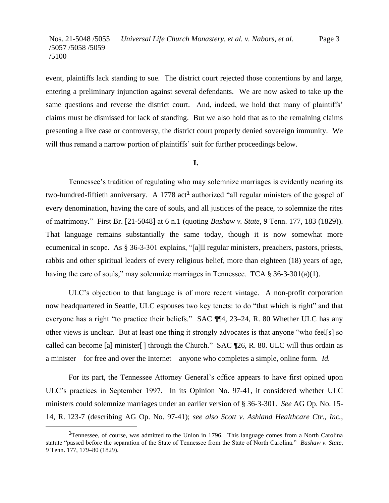event, plaintiffs lack standing to sue. The district court rejected those contentions by and large, entering a preliminary injunction against several defendants. We are now asked to take up the same questions and reverse the district court. And, indeed, we hold that many of plaintiffs' claims must be dismissed for lack of standing. But we also hold that as to the remaining claims presenting a live case or controversy, the district court properly denied sovereign immunity. We will thus remand a narrow portion of plaintiffs' suit for further proceedings below.

#### **I.**

Tennessee's tradition of regulating who may solemnize marriages is evidently nearing its two-hundred-fiftieth anniversary. A 1778 act**<sup>1</sup>** authorized "all regular ministers of the gospel of every denomination, having the care of souls, and all justices of the peace, to solemnize the rites of matrimony." First Br. [21-5048] at 6 n.1 (quoting *Bashaw v. State*, 9 Tenn. 177, 183 (1829)). That language remains substantially the same today, though it is now somewhat more ecumenical in scope. As § 36-3-301 explains, "[a]ll regular ministers, preachers, pastors, priests, rabbis and other spiritual leaders of every religious belief, more than eighteen (18) years of age, having the care of souls," may solemnize marriages in Tennessee. TCA  $\S 36-3-301(a)(1)$ .

ULC's objection to that language is of more recent vintage. A non-profit corporation now headquartered in Seattle, ULC espouses two key tenets: to do "that which is right" and that everyone has a right "to practice their beliefs." SAC ¶¶4, 23–24, R. 80 Whether ULC has any other views is unclear. But at least one thing it strongly advocates is that anyone "who feel[s] so called can become [a] minister[] through the Church." SAC ¶26, R. 80. ULC will thus ordain as a minister—for free and over the Internet—anyone who completes a simple, online form. *Id.*

For its part, the Tennessee Attorney General's office appears to have first opined upon ULC's practices in September 1997. In its Opinion No. 97-41, it considered whether ULC ministers could solemnize marriages under an earlier version of § 36-3-301. *See* AG Op. No. 15- 14, R. 123-7 (describing AG Op. No. 97-41); *see also Scott v. Ashland Healthcare Ctr., Inc.*,

**<sup>1</sup>**Tennessee, of course, was admitted to the Union in 1796. This language comes from a North Carolina statute "passed before the separation of the State of Tennessee from the State of North Carolina." *Bashaw v. State*, 9 Tenn. 177, 179–80 (1829).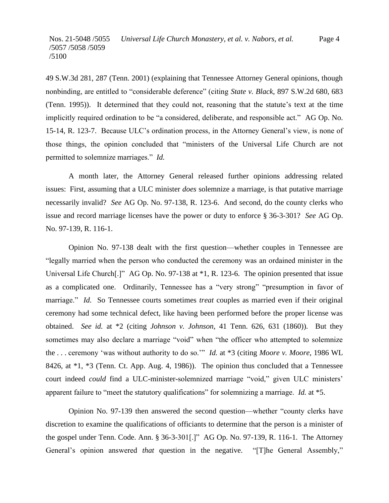49 S.W.3d 281, 287 (Tenn. 2001) (explaining that Tennessee Attorney General opinions, though nonbinding, are entitled to "considerable deference" (citing *State v. Black*, 897 S.W.2d 680, 683 (Tenn. 1995)). It determined that they could not, reasoning that the statute's text at the time implicitly required ordination to be "a considered, deliberate, and responsible act." AG Op. No. 15-14, R. 123-7. Because ULC's ordination process, in the Attorney General's view, is none of those things, the opinion concluded that "ministers of the Universal Life Church are not permitted to solemnize marriages." *Id.*

A month later, the Attorney General released further opinions addressing related issues: First, assuming that a ULC minister *does* solemnize a marriage, is that putative marriage necessarily invalid? *See* AG Op. No. 97-138, R. 123-6. And second, do the county clerks who issue and record marriage licenses have the power or duty to enforce § 36-3-301? *See* AG Op. No. 97-139, R. 116-1.

Opinion No. 97-138 dealt with the first question—whether couples in Tennessee are "legally married when the person who conducted the ceremony was an ordained minister in the Universal Life Church[.]" AG Op. No. 97-138 at  $*1$ , R. 123-6. The opinion presented that issue as a complicated one. Ordinarily, Tennessee has a "very strong" "presumption in favor of marriage." *Id.* So Tennessee courts sometimes *treat* couples as married even if their original ceremony had some technical defect, like having been performed before the proper license was obtained. *See id.* at \*2 (citing *Johnson v. Johnson*, 41 Tenn. 626, 631 (1860)). But they sometimes may also declare a marriage "void" when "the officer who attempted to solemnize the . . . ceremony 'was without authority to do so.'" *Id.* at \*3 (citing *Moore v. Moore*, 1986 WL 8426, at \*1, \*3 (Tenn. Ct. App. Aug. 4, 1986)). The opinion thus concluded that a Tennessee court indeed *could* find a ULC-minister-solemnized marriage "void," given ULC ministers' apparent failure to "meet the statutory qualifications" for solemnizing a marriage. *Id.* at \*5.

Opinion No. 97-139 then answered the second question—whether "county clerks have discretion to examine the qualifications of officiants to determine that the person is a minister of the gospel under Tenn. Code. Ann. § 36-3-301[.]" AG Op. No. 97-139, R. 116-1. The Attorney General's opinion answered *that* question in the negative. "[T]he General Assembly,"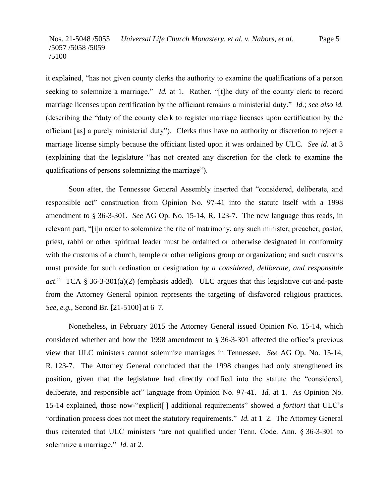it explained, "has not given county clerks the authority to examine the qualifications of a person seeking to solemnize a marriage." *Id.* at 1. Rather, "[t]he duty of the county clerk to record marriage licenses upon certification by the officiant remains a ministerial duty." *Id.*; *see also id.*  (describing the "duty of the county clerk to register marriage licenses upon certification by the officiant [as] a purely ministerial duty"). Clerks thus have no authority or discretion to reject a marriage license simply because the officiant listed upon it was ordained by ULC. *See id.* at 3 (explaining that the legislature "has not created any discretion for the clerk to examine the qualifications of persons solemnizing the marriage").

Soon after, the Tennessee General Assembly inserted that "considered, deliberate, and responsible act" construction from Opinion No. 97-41 into the statute itself with a 1998 amendment to § 36-3-301. *See* AG Op. No. 15-14, R. 123-7. The new language thus reads, in relevant part, "[i]n order to solemnize the rite of matrimony, any such minister, preacher, pastor, priest, rabbi or other spiritual leader must be ordained or otherwise designated in conformity with the customs of a church, temple or other religious group or organization; and such customs must provide for such ordination or designation *by a considered, deliberate, and responsible act*." TCA § 36-3-301(a)(2) (emphasis added). ULC argues that this legislative cut-and-paste from the Attorney General opinion represents the targeting of disfavored religious practices. *See, e.g.*, Second Br. [21-5100] at 6–7.

Nonetheless, in February 2015 the Attorney General issued Opinion No. 15-14, which considered whether and how the 1998 amendment to § 36-3-301 affected the office's previous view that ULC ministers cannot solemnize marriages in Tennessee. *See* AG Op. No. 15-14, R. 123-7. The Attorney General concluded that the 1998 changes had only strengthened its position, given that the legislature had directly codified into the statute the "considered, deliberate, and responsible act" language from Opinion No. 97-41. *Id.* at 1. As Opinion No. 15-14 explained, those now-"explicit[ ] additional requirements" showed *a fortiori* that ULC's "ordination process does not meet the statutory requirements." *Id.* at 1–2. The Attorney General thus reiterated that ULC ministers "are not qualified under Tenn. Code. Ann. § 36-3-301 to solemnize a marriage." *Id.* at 2.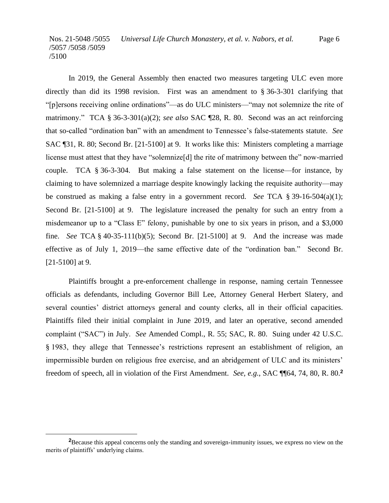In 2019, the General Assembly then enacted two measures targeting ULC even more directly than did its 1998 revision. First was an amendment to § 36-3-301 clarifying that "[p]ersons receiving online ordinations"—as do ULC ministers—"may not solemnize the rite of matrimony." TCA § 36-3-301(a)(2); *see also* SAC ¶28, R. 80. Second was an act reinforcing that so-called "ordination ban" with an amendment to Tennessee's false-statements statute. *See*  SAC ¶31, R. 80; Second Br. [21-5100] at 9. It works like this: Ministers completing a marriage license must attest that they have "solemnize[d] the rite of matrimony between the" now-married couple. TCA § 36-3-304. But making a false statement on the license—for instance, by claiming to have solemnized a marriage despite knowingly lacking the requisite authority—may be construed as making a false entry in a government record. *See* TCA § 39-16-504(a)(1); Second Br. [21-5100] at 9. The legislature increased the penalty for such an entry from a misdemeanor up to a "Class E" felony, punishable by one to six years in prison, and a \$3,000 fine. *See* TCA § 40-35-111(b)(5); Second Br. [21-5100] at 9. And the increase was made effective as of July 1, 2019—the same effective date of the "ordination ban." Second Br. [21-5100] at 9.

Plaintiffs brought a pre-enforcement challenge in response, naming certain Tennessee officials as defendants, including Governor Bill Lee, Attorney General Herbert Slatery, and several counties' district attorneys general and county clerks, all in their official capacities. Plaintiffs filed their initial complaint in June 2019, and later an operative, second amended complaint ("SAC") in July. *See* Amended Compl., R. 55; SAC, R. 80. Suing under 42 U.S.C. § 1983, they allege that Tennessee's restrictions represent an establishment of religion, an impermissible burden on religious free exercise, and an abridgement of ULC and its ministers' freedom of speech, all in violation of the First Amendment. *See, e.g.*, SAC ¶¶64, 74, 80, R. 80.**<sup>2</sup>**

<sup>&</sup>lt;sup>2</sup>Because this appeal concerns only the standing and sovereign-immunity issues, we express no view on the merits of plaintiffs' underlying claims.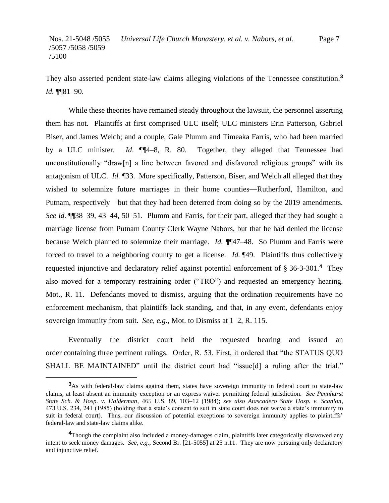They also asserted pendent state-law claims alleging violations of the Tennessee constitution.**<sup>3</sup>** *Id.* ¶¶81–90.

While these theories have remained steady throughout the lawsuit, the personnel asserting them has not. Plaintiffs at first comprised ULC itself; ULC ministers Erin Patterson, Gabriel Biser, and James Welch; and a couple, Gale Plumm and Timeaka Farris, who had been married by a ULC minister*. Id*. ¶¶4–8, R. 80. Together, they alleged that Tennessee had unconstitutionally "draw[n] a line between favored and disfavored religious groups" with its antagonism of ULC. *Id.* ¶33. More specifically, Patterson, Biser, and Welch all alleged that they wished to solemnize future marriages in their home counties—Rutherford, Hamilton, and Putnam, respectively—but that they had been deterred from doing so by the 2019 amendments. *See id.* ¶¶38–39, 43–44, 50–51. Plumm and Farris, for their part, alleged that they had sought a marriage license from Putnam County Clerk Wayne Nabors, but that he had denied the license because Welch planned to solemnize their marriage. *Id.* ¶¶47–48. So Plumm and Farris were forced to travel to a neighboring county to get a license. *Id.* ¶49. Plaintiffs thus collectively requested injunctive and declaratory relief against potential enforcement of § 36-3-301.**<sup>4</sup>** They also moved for a temporary restraining order ("TRO") and requested an emergency hearing. Mot., R. 11. Defendants moved to dismiss, arguing that the ordination requirements have no enforcement mechanism, that plaintiffs lack standing, and that, in any event, defendants enjoy sovereign immunity from suit. *See, e.g.*, Mot. to Dismiss at 1–2, R. 115.

Eventually the district court held the requested hearing and issued an order containing three pertinent rulings. Order, R. 53. First, it ordered that "the STATUS QUO SHALL BE MAINTAINED" until the district court had "issue[d] a ruling after the trial."

**<sup>3</sup>**As with federal-law claims against them, states have sovereign immunity in federal court to state-law claims, at least absent an immunity exception or an express waiver permitting federal jurisdiction. *See Pennhurst State Sch. & Hosp. v. Halderman*, 465 U.S. 89, 103–12 (1984); *see also Atascadero State Hosp. v. Scanlon*, 473 U.S. 234, 241 (1985) (holding that a state's consent to suit in state court does not waive a state's immunity to suit in federal court). Thus, our discussion of potential exceptions to sovereign immunity applies to plaintiffs' federal-law and state-law claims alike.

**<sup>4</sup>**Though the complaint also included a money-damages claim, plaintiffs later categorically disavowed any intent to seek money damages. *See, e.g.*, Second Br. [21-5055] at 25 n.11. They are now pursuing only declaratory and injunctive relief.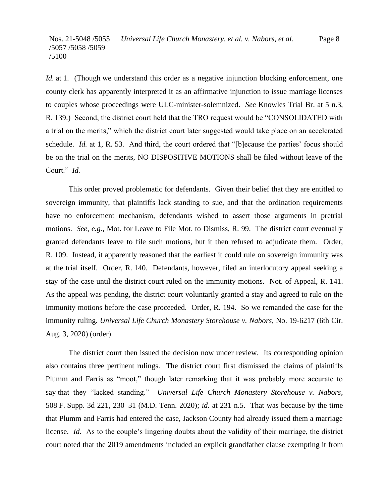*Id.* at 1. (Though we understand this order as a negative injunction blocking enforcement, one county clerk has apparently interpreted it as an affirmative injunction to issue marriage licenses to couples whose proceedings were ULC-minister-solemnized. *See* Knowles Trial Br. at 5 n.3, R. 139.) Second, the district court held that the TRO request would be "CONSOLIDATED with a trial on the merits," which the district court later suggested would take place on an accelerated schedule. *Id.* at 1, R. 53. And third, the court ordered that "[b]ecause the parties' focus should be on the trial on the merits, NO DISPOSITIVE MOTIONS shall be filed without leave of the Court." *Id.*

This order proved problematic for defendants. Given their belief that they are entitled to sovereign immunity, that plaintiffs lack standing to sue, and that the ordination requirements have no enforcement mechanism, defendants wished to assert those arguments in pretrial motions. *See, e.g.*, Mot. for Leave to File Mot. to Dismiss, R. 99. The district court eventually granted defendants leave to file such motions, but it then refused to adjudicate them. Order, R. 109. Instead, it apparently reasoned that the earliest it could rule on sovereign immunity was at the trial itself. Order, R. 140. Defendants, however, filed an interlocutory appeal seeking a stay of the case until the district court ruled on the immunity motions. Not. of Appeal, R. 141. As the appeal was pending, the district court voluntarily granted a stay and agreed to rule on the immunity motions before the case proceeded. Order, R. 194. So we remanded the case for the immunity ruling. *Universal Life Church Monastery Storehouse v. Nabors*, No. 19-6217 (6th Cir. Aug. 3, 2020) (order).

The district court then issued the decision now under review. Its corresponding opinion also contains three pertinent rulings. The district court first dismissed the claims of plaintiffs Plumm and Farris as "moot," though later remarking that it was probably more accurate to say that they "lacked standing." *Universal Life Church Monastery Storehouse v. Nabors*, 508 F. Supp. 3d 221, 230–31 (M.D. Tenn. 2020); *id.* at 231 n.5. That was because by the time that Plumm and Farris had entered the case, Jackson County had already issued them a marriage license. *Id.* As to the couple's lingering doubts about the validity of their marriage, the district court noted that the 2019 amendments included an explicit grandfather clause exempting it from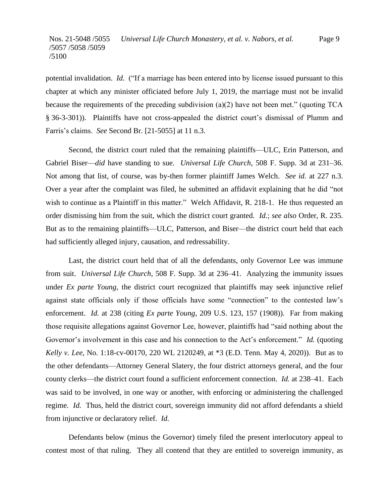potential invalidation. *Id.* ("If a marriage has been entered into by license issued pursuant to this chapter at which any minister officiated before July 1, 2019, the marriage must not be invalid because the requirements of the preceding subdivision (a)(2) have not been met." (quoting TCA § 36-3-301)). Plaintiffs have not cross-appealed the district court's dismissal of Plumm and Farris's claims. *See* Second Br. [21-5055] at 11 n.3.

Second, the district court ruled that the remaining plaintiffs—ULC, Erin Patterson, and Gabriel Biser—*did* have standing to sue. *Universal Life Church*, 508 F. Supp. 3d at 231–36. Not among that list, of course, was by-then former plaintiff James Welch. *See id.* at 227 n.3. Over a year after the complaint was filed, he submitted an affidavit explaining that he did "not wish to continue as a Plaintiff in this matter." Welch Affidavit, R. 218-1. He thus requested an order dismissing him from the suit, which the district court granted. *Id.*; *see also* Order, R. 235. But as to the remaining plaintiffs—ULC, Patterson, and Biser—the district court held that each had sufficiently alleged injury, causation, and redressability.

Last, the district court held that of all the defendants, only Governor Lee was immune from suit. *Universal Life Church*, 508 F. Supp. 3d at 236–41. Analyzing the immunity issues under *Ex parte Young*, the district court recognized that plaintiffs may seek injunctive relief against state officials only if those officials have some "connection" to the contested law's enforcement. *Id.* at 238 (citing *Ex parte Young*, 209 U.S. 123, 157 (1908)). Far from making those requisite allegations against Governor Lee, however, plaintiffs had "said nothing about the Governor's involvement in this case and his connection to the Act's enforcement." *Id.* (quoting *Kelly v. Lee*, No. 1:18-cv-00170, 220 WL 2120249, at \*3 (E.D. Tenn. May 4, 2020)). But as to the other defendants—Attorney General Slatery, the four district attorneys general, and the four county clerks—the district court found a sufficient enforcement connection. *Id.* at 238–41. Each was said to be involved, in one way or another, with enforcing or administering the challenged regime. *Id.* Thus, held the district court, sovereign immunity did not afford defendants a shield from injunctive or declaratory relief. *Id.*

Defendants below (minus the Governor) timely filed the present interlocutory appeal to contest most of that ruling. They all contend that they are entitled to sovereign immunity, as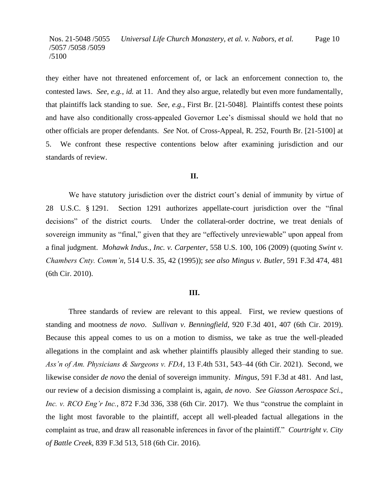they either have not threatened enforcement of, or lack an enforcement connection to, the contested laws. *See, e.g.*, *id.* at 11. And they also argue, relatedly but even more fundamentally, that plaintiffs lack standing to sue. *See, e.g.*, First Br. [21-5048]. Plaintiffs contest these points and have also conditionally cross-appealed Governor Lee's dismissal should we hold that no other officials are proper defendants. *See* Not. of Cross-Appeal, R. 252, Fourth Br. [21-5100] at 5. We confront these respective contentions below after examining jurisdiction and our standards of review.

### **II.**

We have statutory jurisdiction over the district court's denial of immunity by virtue of 28 U.S.C. § 1291. Section 1291 authorizes appellate-court jurisdiction over the "final decisions" of the district courts. Under the collateral-order doctrine, we treat denials of sovereign immunity as "final," given that they are "effectively unreviewable" upon appeal from a final judgment. *Mohawk Indus., Inc. v. Carpenter*, 558 U.S. 100, 106 (2009) (quoting *Swint v. Chambers Cnty. Comm'n*, 514 U.S. 35, 42 (1995)); *see also Mingus v. Butler*, 591 F.3d 474, 481 (6th Cir. 2010).

#### **III.**

Three standards of review are relevant to this appeal. First, we review questions of standing and mootness *de novo*. *Sullivan v. Benningfield*, 920 F.3d 401, 407 (6th Cir. 2019). Because this appeal comes to us on a motion to dismiss, we take as true the well-pleaded allegations in the complaint and ask whether plaintiffs plausibly alleged their standing to sue. *Ass'n of Am. Physicians & Surgeons v. FDA*, 13 F.4th 531, 543–44 (6th Cir. 2021). Second, we likewise consider *de novo* the denial of sovereign immunity. *Mingus*, 591 F.3d at 481. And last, our review of a decision dismissing a complaint is, again, *de novo*. *See Giasson Aerospace Sci., Inc. v. RCO Eng'r Inc.*, 872 F.3d 336, 338 (6th Cir. 2017). We thus "construe the complaint in the light most favorable to the plaintiff, accept all well-pleaded factual allegations in the complaint as true, and draw all reasonable inferences in favor of the plaintiff." *Courtright v. City of Battle Creek*, 839 F.3d 513, 518 (6th Cir. 2016).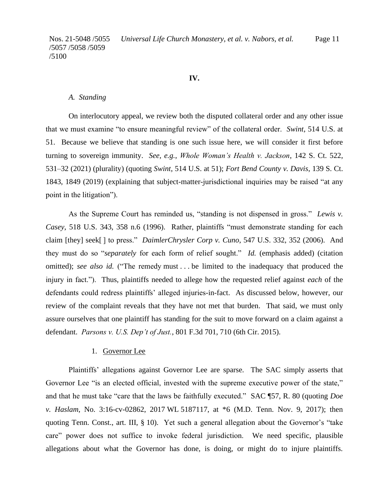### **IV.**

#### *A.**Standing*

On interlocutory appeal, we review both the disputed collateral order and any other issue that we must examine "to ensure meaningful review" of the collateral order. *Swint*, 514 U.S. at 51. Because we believe that standing is one such issue here, we will consider it first before turning to sovereign immunity. *See, e.g.*, *Whole Woman's Health v. Jackson*, 142 S. Ct. 522, 531–32 (2021) (plurality) (quoting *Swint*, 514 U.S. at 51); *Fort Bend County v. Davis*, 139 S. Ct. 1843, 1849 (2019) (explaining that subject-matter-jurisdictional inquiries may be raised "at any point in the litigation").

As the Supreme Court has reminded us, "standing is not dispensed in gross." *Lewis v. Casey*, 518 U.S. 343, 358 n.6 (1996). Rather, plaintiffs "must demonstrate standing for each claim [they] seek[ ] to press." *DaimlerChrysler Corp v. Cuno*, 547 U.S. 332, 352 (2006). And they must do so "*separately* for each form of relief sought." *Id.* (emphasis added) (citation omitted); *see also id.* ("The remedy must . . . be limited to the inadequacy that produced the injury in fact."). Thus, plaintiffs needed to allege how the requested relief against *each* of the defendants could redress plaintiffs' alleged injuries-in-fact. As discussed below, however, our review of the complaint reveals that they have not met that burden. That said, we must only assure ourselves that one plaintiff has standing for the suit to move forward on a claim against a defendant. *Parsons v. U.S. Dep't of Just.*, 801 F.3d 701, 710 (6th Cir. 2015).

### 1. Governor Lee

Plaintiffs' allegations against Governor Lee are sparse. The SAC simply asserts that Governor Lee "is an elected official, invested with the supreme executive power of the state," and that he must take "care that the laws be faithfully executed." SAC ¶57, R. 80 (quoting *Doe v. Haslam*, No. 3:16-cv-02862, 2017 WL 5187117, at \*6 (M.D. Tenn. Nov. 9, 2017); then quoting Tenn. Const., art. III, § 10). Yet such a general allegation about the Governor's "take care" power does not suffice to invoke federal jurisdiction. We need specific, plausible allegations about what the Governor has done, is doing, or might do to injure plaintiffs.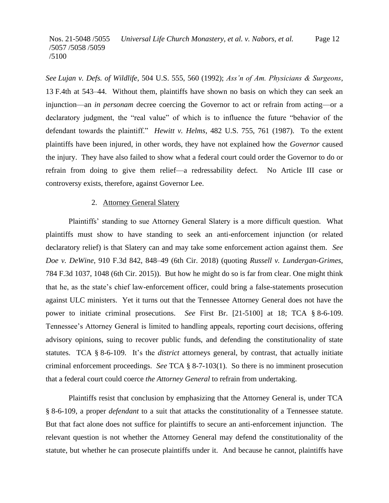*See Lujan v. Defs. of Wildlife*, 504 U.S. 555, 560 (1992); *Ass'n of Am. Physicians & Surgeons*, 13 F.4th at 543–44. Without them, plaintiffs have shown no basis on which they can seek an injunction—an *in personam* decree coercing the Governor to act or refrain from acting—or a declaratory judgment, the "real value" of which is to influence the future "behavior of the defendant towards the plaintiff." *Hewitt v. Helms*, 482 U.S. 755, 761 (1987). To the extent plaintiffs have been injured, in other words, they have not explained how the *Governor* caused the injury. They have also failed to show what a federal court could order the Governor to do or refrain from doing to give them relief—a redressability defect. No Article III case or controversy exists, therefore, against Governor Lee.

#### 2. Attorney General Slatery

Plaintiffs' standing to sue Attorney General Slatery is a more difficult question. What plaintiffs must show to have standing to seek an anti-enforcement injunction (or related declaratory relief) is that Slatery can and may take some enforcement action against them. *See Doe v. DeWine*, 910 F.3d 842, 848–49 (6th Cir. 2018) (quoting *Russell v. Lundergan-Grimes*, 784 F.3d 1037, 1048 (6th Cir. 2015)). But how he might do so is far from clear. One might think that he, as the state's chief law-enforcement officer, could bring a false-statements prosecution against ULC ministers. Yet it turns out that the Tennessee Attorney General does not have the power to initiate criminal prosecutions. *See* First Br. [21-5100] at 18; TCA § 8-6-109. Tennessee's Attorney General is limited to handling appeals, reporting court decisions, offering advisory opinions, suing to recover public funds, and defending the constitutionality of state statutes. TCA § 8-6-109. It's the *district* attorneys general, by contrast, that actually initiate criminal enforcement proceedings. *See* TCA § 8-7-103(1). So there is no imminent prosecution that a federal court could coerce *the Attorney General* to refrain from undertaking.

Plaintiffs resist that conclusion by emphasizing that the Attorney General is, under TCA § 8-6-109, a proper *defendant* to a suit that attacks the constitutionality of a Tennessee statute. But that fact alone does not suffice for plaintiffs to secure an anti-enforcement injunction. The relevant question is not whether the Attorney General may defend the constitutionality of the statute, but whether he can prosecute plaintiffs under it. And because he cannot, plaintiffs have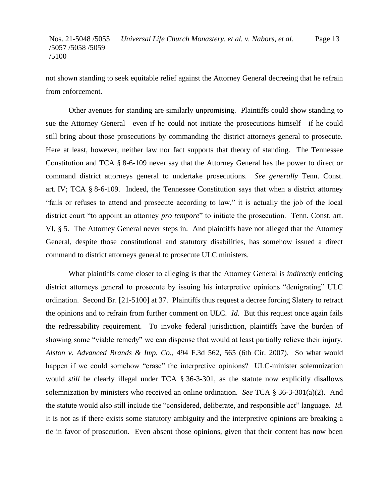not shown standing to seek equitable relief against the Attorney General decreeing that he refrain from enforcement.

Other avenues for standing are similarly unpromising. Plaintiffs could show standing to sue the Attorney General—even if he could not initiate the prosecutions himself—if he could still bring about those prosecutions by commanding the district attorneys general to prosecute. Here at least, however, neither law nor fact supports that theory of standing. The Tennessee Constitution and TCA § 8-6-109 never say that the Attorney General has the power to direct or command district attorneys general to undertake prosecutions. *See generally* Tenn. Const. art. IV; TCA § 8-6-109. Indeed, the Tennessee Constitution says that when a district attorney "fails or refuses to attend and prosecute according to law," it is actually the job of the local district court "to appoint an attorney *pro tempore*" to initiate the prosecution. Tenn. Const. art. VI, § 5. The Attorney General never steps in. And plaintiffs have not alleged that the Attorney General, despite those constitutional and statutory disabilities, has somehow issued a direct command to district attorneys general to prosecute ULC ministers.

What plaintiffs come closer to alleging is that the Attorney General is *indirectly* enticing district attorneys general to prosecute by issuing his interpretive opinions "denigrating" ULC ordination. Second Br. [21-5100] at 37. Plaintiffs thus request a decree forcing Slatery to retract the opinions and to refrain from further comment on ULC. *Id.* But this request once again fails the redressability requirement. To invoke federal jurisdiction, plaintiffs have the burden of showing some "viable remedy" we can dispense that would at least partially relieve their injury. *Alston v. Advanced Brands & Imp. Co.*, 494 F.3d 562, 565 (6th Cir. 2007). So what would happen if we could somehow "erase" the interpretive opinions? ULC-minister solemnization would *still* be clearly illegal under TCA § 36-3-301, as the statute now explicitly disallows solemnization by ministers who received an online ordination. *See* TCA § 36-3-301(a)(2). And the statute would also still include the "considered, deliberate, and responsible act" language. *Id.* It is not as if there exists some statutory ambiguity and the interpretive opinions are breaking a tie in favor of prosecution. Even absent those opinions, given that their content has now been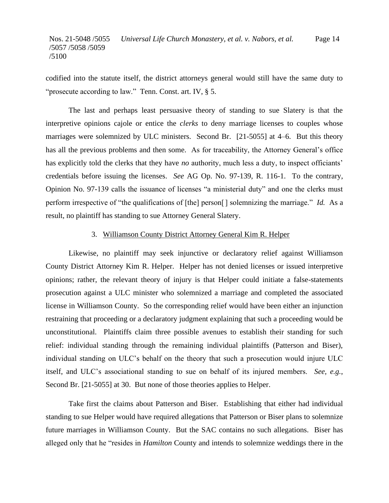codified into the statute itself, the district attorneys general would still have the same duty to "prosecute according to law." Tenn. Const. art. IV, § 5.

The last and perhaps least persuasive theory of standing to sue Slatery is that the interpretive opinions cajole or entice the *clerks* to deny marriage licenses to couples whose marriages were solemnized by ULC ministers. Second Br. [21-5055] at 4–6. But this theory has all the previous problems and then some. As for traceability, the Attorney General's office has explicitly told the clerks that they have *no* authority, much less a duty, to inspect officiants' credentials before issuing the licenses. *See* AG Op. No. 97-139, R. 116-1. To the contrary, Opinion No. 97-139 calls the issuance of licenses "a ministerial duty" and one the clerks must perform irrespective of "the qualifications of [the] person[] solemnizing the marriage." *Id.* As a result, no plaintiff has standing to sue Attorney General Slatery.

# 3. Williamson County District Attorney General Kim R. Helper

Likewise, no plaintiff may seek injunctive or declaratory relief against Williamson County District Attorney Kim R. Helper. Helper has not denied licenses or issued interpretive opinions; rather, the relevant theory of injury is that Helper could initiate a false-statements prosecution against a ULC minister who solemnized a marriage and completed the associated license in Williamson County. So the corresponding relief would have been either an injunction restraining that proceeding or a declaratory judgment explaining that such a proceeding would be unconstitutional. Plaintiffs claim three possible avenues to establish their standing for such relief: individual standing through the remaining individual plaintiffs (Patterson and Biser), individual standing on ULC's behalf on the theory that such a prosecution would injure ULC itself, and ULC's associational standing to sue on behalf of its injured members. *See, e.g.*, Second Br. [21-5055] at 30. But none of those theories applies to Helper.

Take first the claims about Patterson and Biser. Establishing that either had individual standing to sue Helper would have required allegations that Patterson or Biser plans to solemnize future marriages in Williamson County. But the SAC contains no such allegations. Biser has alleged only that he "resides in *Hamilton* County and intends to solemnize weddings there in the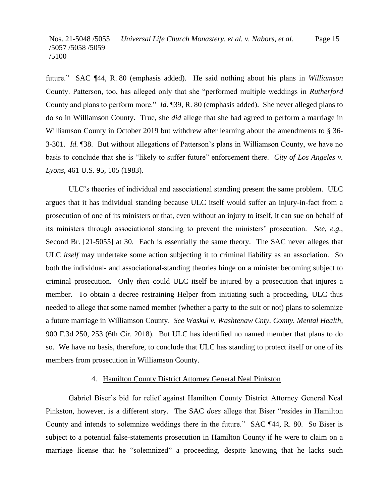future." SAC ¶44, R. 80 (emphasis added). He said nothing about his plans in *Williamson*  County. Patterson, too, has alleged only that she "performed multiple weddings in *Rutherford*  County and plans to perform more." *Id.* ¶39, R. 80 (emphasis added). She never alleged plans to do so in Williamson County. True, she *did* allege that she had agreed to perform a marriage in Williamson County in October 2019 but withdrew after learning about the amendments to § 36-3-301. *Id.* ¶38. But without allegations of Patterson's plans in Williamson County, we have no basis to conclude that she is "likely to suffer future" enforcement there. *City of Los Angeles v. Lyons*, 461 U.S. 95, 105 (1983).

ULC's theories of individual and associational standing present the same problem. ULC argues that it has individual standing because ULC itself would suffer an injury-in-fact from a prosecution of one of its ministers or that, even without an injury to itself, it can sue on behalf of its ministers through associational standing to prevent the ministers' prosecution. *See, e.g.*, Second Br. [21-5055] at 30. Each is essentially the same theory. The SAC never alleges that ULC *itself* may undertake some action subjecting it to criminal liability as an association. So both the individual- and associational-standing theories hinge on a minister becoming subject to criminal prosecution. Only *then* could ULC itself be injured by a prosecution that injures a member. To obtain a decree restraining Helper from initiating such a proceeding, ULC thus needed to allege that some named member (whether a party to the suit or not) plans to solemnize a future marriage in Williamson County. *See Waskul v. Washtenaw Cnty. Comty. Mental Health*, 900 F.3d 250, 253 (6th Cir. 2018). But ULC has identified no named member that plans to do so. We have no basis, therefore, to conclude that ULC has standing to protect itself or one of its members from prosecution in Williamson County.

#### 4. Hamilton County District Attorney General Neal Pinkston

Gabriel Biser's bid for relief against Hamilton County District Attorney General Neal Pinkston, however, is a different story. The SAC *does* allege that Biser "resides in Hamilton County and intends to solemnize weddings there in the future." SAC ¶44, R. 80. So Biser is subject to a potential false-statements prosecution in Hamilton County if he were to claim on a marriage license that he "solemnized" a proceeding, despite knowing that he lacks such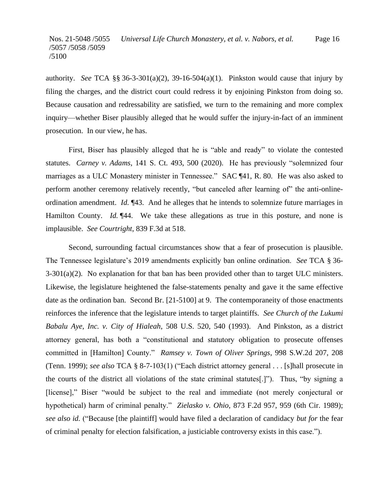authority. *See* TCA  $\S$ § 36-3-301(a)(2), 39-16-504(a)(1). Pinkston would cause that injury by filing the charges, and the district court could redress it by enjoining Pinkston from doing so. Because causation and redressability are satisfied, we turn to the remaining and more complex inquiry—whether Biser plausibly alleged that he would suffer the injury-in-fact of an imminent prosecution. In our view, he has.

First, Biser has plausibly alleged that he is "able and ready" to violate the contested statutes. *Carney v. Adams*, 141 S. Ct. 493, 500 (2020). He has previously "solemnized four marriages as a ULC Monastery minister in Tennessee." SAC ¶41, R. 80. He was also asked to perform another ceremony relatively recently, "but canceled after learning of" the anti-onlineordination amendment. *Id.* ¶43. And he alleges that he intends to solemnize future marriages in Hamilton County. *Id.* [44. We take these allegations as true in this posture, and none is implausible. *See Courtright*, 839 F.3d at 518.

Second, surrounding factual circumstances show that a fear of prosecution is plausible. The Tennessee legislature's 2019 amendments explicitly ban online ordination. *See* TCA § 36-  $3-301(a)(2)$ . No explanation for that ban has been provided other than to target ULC ministers. Likewise, the legislature heightened the false-statements penalty and gave it the same effective date as the ordination ban. Second Br. [21-5100] at 9. The contemporaneity of those enactments reinforces the inference that the legislature intends to target plaintiffs. *See Church of the Lukumi Babalu Aye, Inc. v. City of Hialeah*, 508 U.S. 520, 540 (1993). And Pinkston, as a district attorney general, has both a "constitutional and statutory obligation to prosecute offenses committed in [Hamilton] County." *Ramsey v. Town of Oliver Springs*, 998 S.W.2d 207, 208 (Tenn. 1999); *see also* TCA § 8-7-103(1) ("Each district attorney general . . . [s]hall prosecute in the courts of the district all violations of the state criminal statutes[.]"). Thus, "by signing a [license]," Biser "would be subject to the real and immediate (not merely conjectural or hypothetical) harm of criminal penalty." *Zielasko v. Ohio*, 873 F.2d 957, 959 (6th Cir. 1989); *see also id.* ("Because [the plaintiff] would have filed a declaration of candidacy *but for* the fear of criminal penalty for election falsification, a justiciable controversy exists in this case.").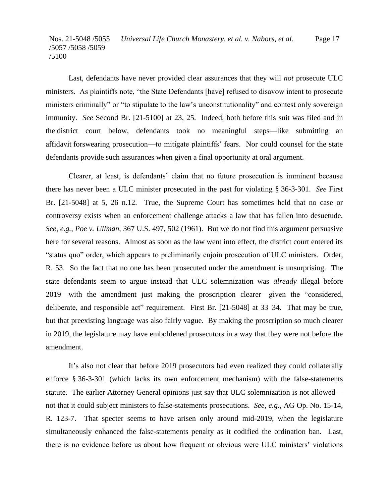Last, defendants have never provided clear assurances that they will *not* prosecute ULC ministers. As plaintiffs note, "the State Defendants [have] refused to disavow intent to prosecute ministers criminally" or "to stipulate to the law's unconstitutionality" and contest only sovereign immunity. *See* Second Br. [21-5100] at 23, 25. Indeed, both before this suit was filed and in the district court below, defendants took no meaningful steps—like submitting an affidavit forswearing prosecution—to mitigate plaintiffs' fears. Nor could counsel for the state defendants provide such assurances when given a final opportunity at oral argument.

Clearer, at least, is defendants' claim that no future prosecution is imminent because there has never been a ULC minister prosecuted in the past for violating § 36-3-301. *See* First Br. [21-5048] at 5, 26 n.12. True, the Supreme Court has sometimes held that no case or controversy exists when an enforcement challenge attacks a law that has fallen into desuetude. *See, e.g.*, *Poe v. Ullman*, 367 U.S. 497, 502 (1961). But we do not find this argument persuasive here for several reasons. Almost as soon as the law went into effect, the district court entered its "status quo" order, which appears to preliminarily enjoin prosecution of ULC ministers. Order, R. 53. So the fact that no one has been prosecuted under the amendment is unsurprising. The state defendants seem to argue instead that ULC solemnization was *already* illegal before 2019—with the amendment just making the proscription clearer—given the "considered, deliberate, and responsible act" requirement. First Br. [21-5048] at 33–34. That may be true, but that preexisting language was also fairly vague. By making the proscription so much clearer in 2019, the legislature may have emboldened prosecutors in a way that they were not before the amendment.

It's also not clear that before 2019 prosecutors had even realized they could collaterally enforce § 36-3-301 (which lacks its own enforcement mechanism) with the false-statements statute. The earlier Attorney General opinions just say that ULC solemnization is not allowed not that it could subject ministers to false-statements prosecutions. *See, e.g.*, AG Op. No. 15-14, R. 123-7. That specter seems to have arisen only around mid-2019, when the legislature simultaneously enhanced the false-statements penalty as it codified the ordination ban. Last, there is no evidence before us about how frequent or obvious were ULC ministers' violations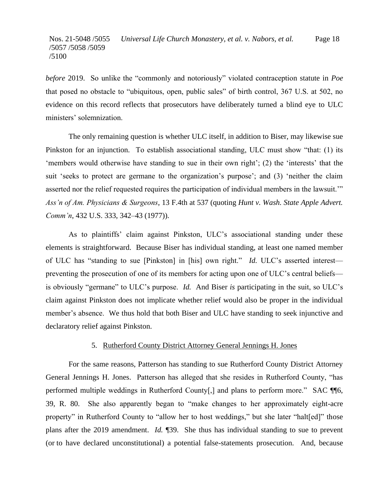*before* 2019. So unlike the "commonly and notoriously" violated contraception statute in *Poe*  that posed no obstacle to "ubiquitous, open, public sales" of birth control, 367 U.S. at 502, no evidence on this record reflects that prosecutors have deliberately turned a blind eye to ULC ministers' solemnization.

The only remaining question is whether ULC itself, in addition to Biser, may likewise sue Pinkston for an injunction. To establish associational standing, ULC must show "that: (1) its 'members would otherwise have standing to sue in their own right'; (2) the 'interests' that the suit 'seeks to protect are germane to the organization's purpose'; and (3) 'neither the claim asserted nor the relief requested requires the participation of individual members in the lawsuit.'" *Ass'n of Am. Physicians & Surgeons*, 13 F.4th at 537 (quoting *Hunt v. Wash. State Apple Advert. Comm'n*, 432 U.S. 333, 342–43 (1977)).

As to plaintiffs' claim against Pinkston, ULC's associational standing under these elements is straightforward. Because Biser has individual standing, at least one named member of ULC has "standing to sue [Pinkston] in [his] own right." *Id.* ULC's asserted interest preventing the prosecution of one of its members for acting upon one of ULC's central beliefs is obviously "germane" to ULC's purpose. *Id.* And Biser *is* participating in the suit, so ULC's claim against Pinkston does not implicate whether relief would also be proper in the individual member's absence. We thus hold that both Biser and ULC have standing to seek injunctive and declaratory relief against Pinkston.

#### 5. Rutherford County District Attorney General Jennings H. Jones

For the same reasons, Patterson has standing to sue Rutherford County District Attorney General Jennings H. Jones. Patterson has alleged that she resides in Rutherford County, "has performed multiple weddings in Rutherford County[,] and plans to perform more." SAC ¶¶6, 39, R. 80. She also apparently began to "make changes to her approximately eight-acre property" in Rutherford County to "allow her to host weddings," but she later "halt[ed]" those plans after the 2019 amendment. *Id.* ¶39. She thus has individual standing to sue to prevent (or to have declared unconstitutional) a potential false-statements prosecution. And, because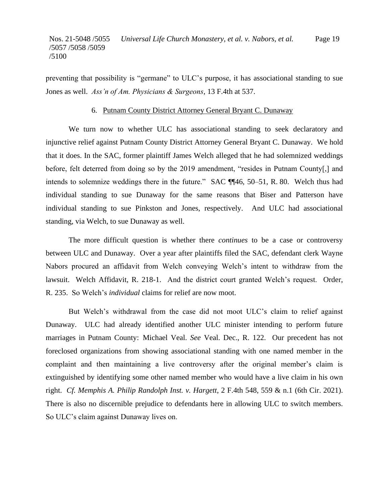preventing that possibility is "germane" to ULC's purpose, it has associational standing to sue Jones as well. *Ass'n of Am. Physicians & Surgeons*, 13 F.4th at 537.

#### 6. Putnam County District Attorney General Bryant C. Dunaway

We turn now to whether ULC has associational standing to seek declaratory and injunctive relief against Putnam County District Attorney General Bryant C. Dunaway. We hold that it does. In the SAC, former plaintiff James Welch alleged that he had solemnized weddings before, felt deterred from doing so by the 2019 amendment, "resides in Putnam County[,] and intends to solemnize weddings there in the future." SAC ¶¶46, 50–51, R. 80. Welch thus had individual standing to sue Dunaway for the same reasons that Biser and Patterson have individual standing to sue Pinkston and Jones, respectively. And ULC had associational standing, via Welch, to sue Dunaway as well.

The more difficult question is whether there *continues* to be a case or controversy between ULC and Dunaway. Over a year after plaintiffs filed the SAC, defendant clerk Wayne Nabors procured an affidavit from Welch conveying Welch's intent to withdraw from the lawsuit. Welch Affidavit, R. 218-1. And the district court granted Welch's request. Order, R. 235. So Welch's *individual* claims for relief are now moot.

But Welch's withdrawal from the case did not moot ULC's claim to relief against Dunaway. ULC had already identified another ULC minister intending to perform future marriages in Putnam County: Michael Veal. *See* Veal. Dec., R. 122. Our precedent has not foreclosed organizations from showing associational standing with one named member in the complaint and then maintaining a live controversy after the original member's claim is extinguished by identifying some other named member who would have a live claim in his own right. *Cf. Memphis A. Philip Randolph Inst. v. Hargett*, 2 F.4th 548, 559 & n.1 (6th Cir. 2021). There is also no discernible prejudice to defendants here in allowing ULC to switch members. So ULC's claim against Dunaway lives on.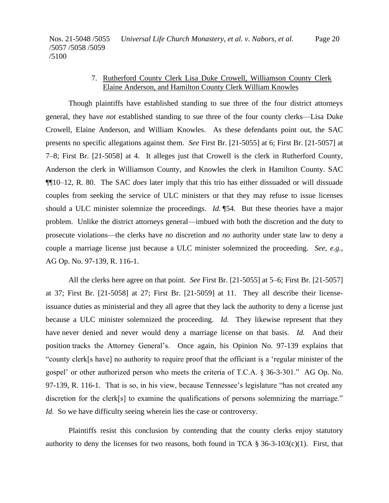### 7. Rutherford County Clerk Lisa Duke Crowell, Williamson County Clerk Elaine Anderson, and Hamilton County Clerk William Knowles

Though plaintiffs have established standing to sue three of the four district attorneys general, they have *not* established standing to sue three of the four county clerks—Lisa Duke Crowell, Elaine Anderson, and William Knowles. As these defendants point out, the SAC presents no specific allegations against them. *See* First Br. [21-5055] at 6; First Br. [21-5057] at 7–8; First Br. [21-5058] at 4. It alleges just that Crowell is the clerk in Rutherford County, Anderson the clerk in Williamson County, and Knowles the clerk in Hamilton County. SAC ¶¶10–12, R. 80. The SAC *does* later imply that this trio has either dissuaded or will dissuade couples from seeking the service of ULC ministers or that they may refuse to issue licenses should a ULC minister solemnize the proceedings. *Id.* ¶54. But these theories have a major problem. Unlike the district attorneys general—imbued with both the discretion and the duty to prosecute violations—the clerks have *no* discretion and *no* authority under state law to deny a couple a marriage license just because a ULC minister solemnized the proceeding. *See, e.g.*, AG Op. No. 97-139, R. 116-1.

All the clerks here agree on that point. *See* First Br. [21-5055] at 5–6; First Br. [21-5057] at 37; First Br. [21-5058] at 27; First Br. [21-5059] at 11. They all describe their licenseissuance duties as ministerial and they all agree that they lack the authority to deny a license just because a ULC minister solemnized the proceeding. *Id.* They likewise represent that they have never denied and never would deny a marriage license on that basis. *Id.* And their position tracks the Attorney General's. Once again, his Opinion No. 97-139 explains that "county clerk[s have] no authority to require proof that the officiant is a 'regular minister of the gospel' or other authorized person who meets the criteria of T.C.A. § 36-3-301." AG Op. No. 97-139, R. 116-1. That is so, in his view, because Tennessee's legislature "has not created any discretion for the clerk[s] to examine the qualifications of persons solemnizing the marriage." *Id.* So we have difficulty seeing wherein lies the case or controversy.

Plaintiffs resist this conclusion by contending that the county clerks enjoy statutory authority to deny the licenses for two reasons, both found in TCA  $\S 36-3-103(c)(1)$ . First, that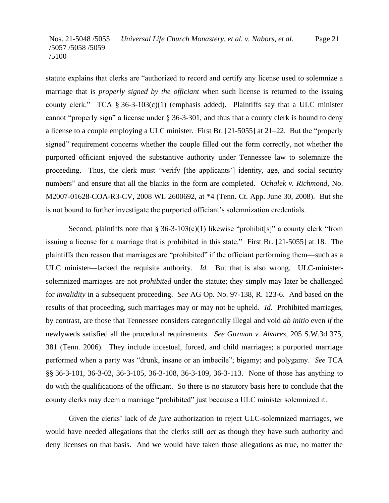statute explains that clerks are "authorized to record and certify any license used to solemnize a marriage that is *properly signed by the officiant* when such license is returned to the issuing county clerk." TCA  $\S 36-3-103(c)(1)$  (emphasis added). Plaintiffs say that a ULC minister cannot "properly sign" a license under  $\S 36-3-301$ , and thus that a county clerk is bound to deny a license to a couple employing a ULC minister. First Br. [21-5055] at 21–22. But the "properly signed" requirement concerns whether the couple filled out the form correctly, not whether the purported officiant enjoyed the substantive authority under Tennessee law to solemnize the proceeding. Thus, the clerk must "verify [the applicants'] identity, age, and social security numbers" and ensure that all the blanks in the form are completed. *Ochalek v. Richmond*, No. M2007-01628-COA-R3-CV, 2008 WL 2600692, at \*4 (Tenn. Ct. App. June 30, 2008). But she is not bound to further investigate the purported officiant's solemnization credentials.

Second, plaintiffs note that § 36-3-103(c)(1) likewise "prohibit[s]" a county clerk "from issuing a license for a marriage that is prohibited in this state." First Br. [21-5055] at 18. The plaintiffs then reason that marriages are "prohibited" if the officiant performing them—such as a ULC minister—lacked the requisite authority. *Id.* But that is also wrong. ULC-ministersolemnized marriages are not *prohibited* under the statute; they simply may later be challenged for *invalidity* in a subsequent proceeding. *See* AG Op. No. 97-138, R. 123-6. And based on the results of that proceeding, such marriages may or may not be upheld. *Id.* Prohibited marriages, by contrast, are those that Tennessee considers categorically illegal and void *ab initio* even *if* the newlyweds satisfied all the procedural requirements. *See Guzman v. Alvares*, 205 S.W.3d 375, 381 (Tenn. 2006). They include incestual, forced, and child marriages; a purported marriage performed when a party was "drunk, insane or an imbecile"; bigamy; and polygamy. *See* TCA §§ 36-3-101, 36-3-02, 36-3-105, 36-3-108, 36-3-109, 36-3-113. None of those has anything to do with the qualifications of the officiant. So there is no statutory basis here to conclude that the county clerks may deem a marriage "prohibited" just because a ULC minister solemnized it.

Given the clerks' lack of *de jure* authorization to reject ULC-solemnized marriages, we would have needed allegations that the clerks still *act* as though they have such authority and deny licenses on that basis. And we would have taken those allegations as true, no matter the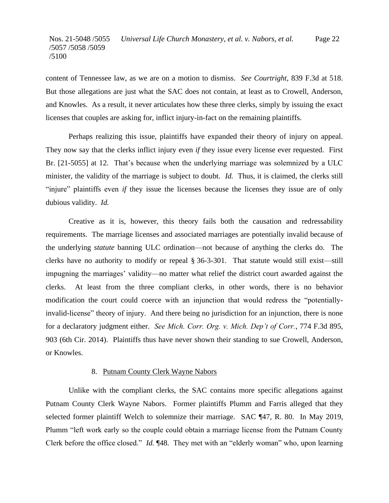content of Tennessee law, as we are on a motion to dismiss. *See Courtright*, 839 F.3d at 518. But those allegations are just what the SAC does not contain, at least as to Crowell, Anderson, and Knowles. As a result, it never articulates how these three clerks, simply by issuing the exact licenses that couples are asking for, inflict injury-in-fact on the remaining plaintiffs.

Perhaps realizing this issue, plaintiffs have expanded their theory of injury on appeal. They now say that the clerks inflict injury even *if* they issue every license ever requested. First Br. [21-5055] at 12. That's because when the underlying marriage was solemnized by a ULC minister, the validity of the marriage is subject to doubt. *Id.* Thus, it is claimed, the clerks still "injure" plaintiffs even *if* they issue the licenses because the licenses they issue are of only dubious validity. *Id.*

Creative as it is, however, this theory fails both the causation and redressability requirements. The marriage licenses and associated marriages are potentially invalid because of the underlying *statute* banning ULC ordination—not because of anything the clerks do. The clerks have no authority to modify or repeal § 36-3-301. That statute would still exist—still impugning the marriages' validity—no matter what relief the district court awarded against the clerks. At least from the three compliant clerks, in other words, there is no behavior modification the court could coerce with an injunction that would redress the "potentiallyinvalid-license" theory of injury. And there being no jurisdiction for an injunction, there is none for a declaratory judgment either. *See Mich. Corr. Org. v. Mich. Dep't of Corr.*, 774 F.3d 895, 903 (6th Cir. 2014). Plaintiffs thus have never shown their standing to sue Crowell, Anderson, or Knowles.

### 8. Putnam County Clerk Wayne Nabors

Unlike with the compliant clerks, the SAC contains more specific allegations against Putnam County Clerk Wayne Nabors. Former plaintiffs Plumm and Farris alleged that they selected former plaintiff Welch to solemnize their marriage. SAC ¶47, R. 80. In May 2019, Plumm "left work early so the couple could obtain a marriage license from the Putnam County Clerk before the office closed." *Id.* ¶48. They met with an "elderly woman" who, upon learning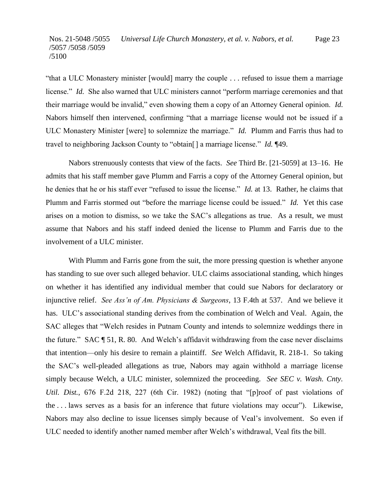"that a ULC Monastery minister [would] marry the couple . . . refused to issue them a marriage license." *Id.* She also warned that ULC ministers cannot "perform marriage ceremonies and that their marriage would be invalid," even showing them a copy of an Attorney General opinion. *Id.*  Nabors himself then intervened, confirming "that a marriage license would not be issued if a ULC Monastery Minister [were] to solemnize the marriage." *Id.* Plumm and Farris thus had to travel to neighboring Jackson County to "obtain[] a marriage license." *Id.* ¶49.

Nabors strenuously contests that view of the facts. *See* Third Br. [21-5059] at 13–16. He admits that his staff member gave Plumm and Farris a copy of the Attorney General opinion, but he denies that he or his staff ever "refused to issue the license." *Id.* at 13. Rather, he claims that Plumm and Farris stormed out "before the marriage license could be issued." *Id.* Yet this case arises on a motion to dismiss, so we take the SAC's allegations as true. As a result, we must assume that Nabors and his staff indeed denied the license to Plumm and Farris due to the involvement of a ULC minister.

With Plumm and Farris gone from the suit, the more pressing question is whether anyone has standing to sue over such alleged behavior. ULC claims associational standing, which hinges on whether it has identified any individual member that could sue Nabors for declaratory or injunctive relief. *See Ass'n of Am. Physicians & Surgeons*, 13 F.4th at 537. And we believe it has. ULC's associational standing derives from the combination of Welch and Veal. Again, the SAC alleges that "Welch resides in Putnam County and intends to solemnize weddings there in the future." SAC ¶ 51, R. 80. And Welch's affidavit withdrawing from the case never disclaims that intention—only his desire to remain a plaintiff. *See* Welch Affidavit, R. 218-1. So taking the SAC's well-pleaded allegations as true, Nabors may again withhold a marriage license simply because Welch, a ULC minister, solemnized the proceeding. *See SEC v. Wash. Cnty. Util. Dist.*, 676 F.2d 218, 227 (6th Cir. 1982) (noting that "[p]roof of past violations of the . . . laws serves as a basis for an inference that future violations may occur"). Likewise, Nabors may also decline to issue licenses simply because of Veal's involvement. So even if ULC needed to identify another named member after Welch's withdrawal, Veal fits the bill.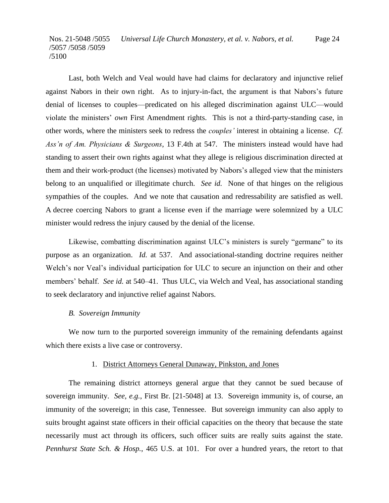Last, both Welch and Veal would have had claims for declaratory and injunctive relief against Nabors in their own right. As to injury-in-fact, the argument is that Nabors's future denial of licenses to couples—predicated on his alleged discrimination against ULC—would violate the ministers' *own* First Amendment rights. This is not a third-party-standing case, in other words, where the ministers seek to redress the *couples'* interest in obtaining a license. *Cf. Ass'n of Am. Physicians & Surgeons*, 13 F.4th at 547. The ministers instead would have had standing to assert their own rights against what they allege is religious discrimination directed at them and their work-product (the licenses) motivated by Nabors's alleged view that the ministers belong to an unqualified or illegitimate church. *See id.* None of that hinges on the religious sympathies of the couples. And we note that causation and redressability are satisfied as well. A decree coercing Nabors to grant a license even if the marriage were solemnized by a ULC minister would redress the injury caused by the denial of the license.

Likewise, combatting discrimination against ULC's ministers is surely "germane" to its purpose as an organization. *Id.* at 537. And associational-standing doctrine requires neither Welch's nor Veal's individual participation for ULC to secure an injunction on their and other members' behalf. *See id.* at 540–41. Thus ULC, via Welch and Veal, has associational standing to seek declaratory and injunctive relief against Nabors.

#### *B. Sovereign Immunity*

We now turn to the purported sovereign immunity of the remaining defendants against which there exists a live case or controversy.

#### 1. District Attorneys General Dunaway, Pinkston, and Jones

The remaining district attorneys general argue that they cannot be sued because of sovereign immunity. *See, e.g.*, First Br. [21-5048] at 13. Sovereign immunity is, of course, an immunity of the sovereign; in this case, Tennessee. But sovereign immunity can also apply to suits brought against state officers in their official capacities on the theory that because the state necessarily must act through its officers, such officer suits are really suits against the state. *Pennhurst State Sch. & Hosp.*, 465 U.S. at 101. For over a hundred years, the retort to that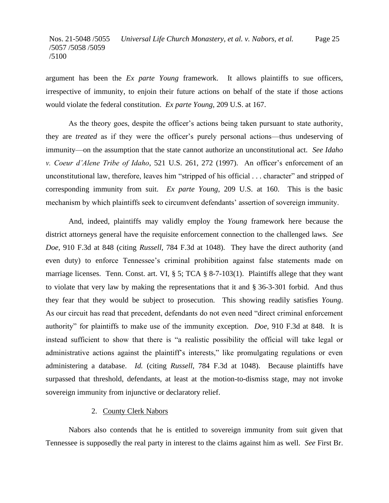argument has been the *Ex parte Young* framework. It allows plaintiffs to sue officers, irrespective of immunity, to enjoin their future actions on behalf of the state if those actions would violate the federal constitution. *Ex parte Young*, 209 U.S. at 167.

As the theory goes, despite the officer's actions being taken pursuant to state authority, they are *treated* as if they were the officer's purely personal actions—thus undeserving of immunity—on the assumption that the state cannot authorize an unconstitutional act. *See Idaho v. Coeur d'Alene Tribe of Idaho*, 521 U.S. 261, 272 (1997). An officer's enforcement of an unconstitutional law, therefore, leaves him "stripped of his official . . . character" and stripped of corresponding immunity from suit. *Ex parte Young*, 209 U.S. at 160. This is the basic mechanism by which plaintiffs seek to circumvent defendants' assertion of sovereign immunity.

And, indeed, plaintiffs may validly employ the *Young* framework here because the district attorneys general have the requisite enforcement connection to the challenged laws. *See Doe*, 910 F.3d at 848 (citing *Russell*, 784 F.3d at 1048). They have the direct authority (and even duty) to enforce Tennessee's criminal prohibition against false statements made on marriage licenses. Tenn. Const. art. VI, § 5; TCA § 8-7-103(1). Plaintiffs allege that they want to violate that very law by making the representations that it and § 36-3-301 forbid. And thus they fear that they would be subject to prosecution. This showing readily satisfies *Young*. As our circuit has read that precedent, defendants do not even need "direct criminal enforcement authority" for plaintiffs to make use of the immunity exception. *Doe*, 910 F.3d at 848. It is instead sufficient to show that there is "a realistic possibility the official will take legal or administrative actions against the plaintiff's interests," like promulgating regulations or even administering a database. *Id.* (citing *Russell*, 784 F.3d at 1048). Because plaintiffs have surpassed that threshold, defendants, at least at the motion-to-dismiss stage, may not invoke sovereign immunity from injunctive or declaratory relief.

### 2. County Clerk Nabors

Nabors also contends that he is entitled to sovereign immunity from suit given that Tennessee is supposedly the real party in interest to the claims against him as well. *See* First Br.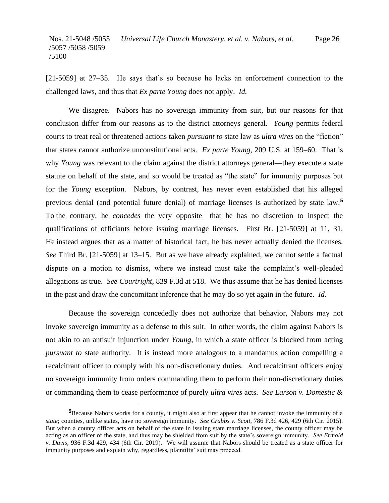[21-5059] at 27–35. He says that's so because he lacks an enforcement connection to the challenged laws, and thus that *Ex parte Young* does not apply. *Id.*

We disagree. Nabors has no sovereign immunity from suit, but our reasons for that conclusion differ from our reasons as to the district attorneys general. *Young* permits federal courts to treat real or threatened actions taken *pursuant to* state law as *ultra vires* on the "fiction" that states cannot authorize unconstitutional acts. *Ex parte Young*, 209 U.S. at 159–60. That is why *Young* was relevant to the claim against the district attorneys general—they execute a state statute on behalf of the state, and so would be treated as "the state" for immunity purposes but for the *Young* exception. Nabors, by contrast, has never even established that his alleged previous denial (and potential future denial) of marriage licenses is authorized by state law.**<sup>5</sup>** To the contrary, he *concedes* the very opposite—that he has no discretion to inspect the qualifications of officiants before issuing marriage licenses. First Br. [21-5059] at 11, 31. He instead argues that as a matter of historical fact, he has never actually denied the licenses. *See* Third Br. [21-5059] at 13–15. But as we have already explained, we cannot settle a factual dispute on a motion to dismiss, where we instead must take the complaint's well-pleaded allegations as true. *See Courtright*, 839 F.3d at 518. We thus assume that he has denied licenses in the past and draw the concomitant inference that he may do so yet again in the future. *Id.*

Because the sovereign concededly does not authorize that behavior, Nabors may not invoke sovereign immunity as a defense to this suit. In other words, the claim against Nabors is not akin to an antisuit injunction under *Young*, in which a state officer is blocked from acting *pursuant to* state authority. It is instead more analogous to a mandamus action compelling a recalcitrant officer to comply with his non-discretionary duties. And recalcitrant officers enjoy no sovereign immunity from orders commanding them to perform their non-discretionary duties or commanding them to cease performance of purely *ultra vires* acts. *See Larson v. Domestic &* 

**<sup>5</sup>**Because Nabors works for a county, it might also at first appear that he cannot invoke the immunity of a *state*; counties, unlike states, have no sovereign immunity. *See Crabbs v. Scott*, 786 F.3d 426, 429 (6th Cir. 2015). But when a county officer acts on behalf of the state in issuing state marriage licenses, the county officer may be acting as an officer of the state, and thus may be shielded from suit by the state's sovereign immunity. *See Ermold v. Davis*, 936 F.3d 429, 434 (6th Cir. 2019). We will assume that Nabors should be treated as a state officer for immunity purposes and explain why, regardless, plaintiffs' suit may proceed.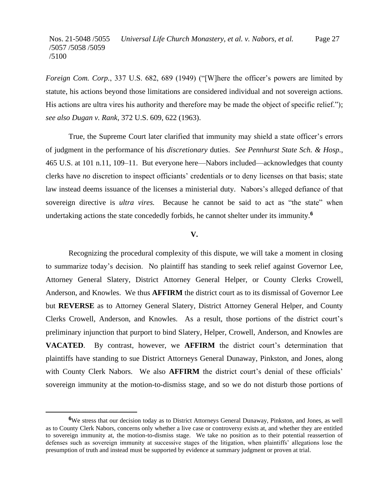*Foreign Com. Corp.*, 337 U.S. 682, 689 (1949) ("[W]here the officer's powers are limited by statute, his actions beyond those limitations are considered individual and not sovereign actions. His actions are ultra vires his authority and therefore may be made the object of specific relief."); *see also Dugan v. Rank*, 372 U.S. 609, 622 (1963).

True, the Supreme Court later clarified that immunity may shield a state officer's errors of judgment in the performance of his *discretionary* duties. *See Pennhurst State Sch. & Hosp.*, 465 U.S. at 101 n.11, 109–11. But everyone here—Nabors included—acknowledges that county clerks have *no* discretion to inspect officiants' credentials or to deny licenses on that basis; state law instead deems issuance of the licenses a ministerial duty. Nabors's alleged defiance of that sovereign directive is *ultra vires.* Because he cannot be said to act as "the state" when undertaking actions the state concededly forbids, he cannot shelter under its immunity.**<sup>6</sup>**

#### **V.**

Recognizing the procedural complexity of this dispute, we will take a moment in closing to summarize today's decision. No plaintiff has standing to seek relief against Governor Lee, Attorney General Slatery, District Attorney General Helper, or County Clerks Crowell, Anderson, and Knowles. We thus **AFFIRM** the district court as to its dismissal of Governor Lee but **REVERSE** as to Attorney General Slatery, District Attorney General Helper, and County Clerks Crowell, Anderson, and Knowles. As a result, those portions of the district court's preliminary injunction that purport to bind Slatery, Helper, Crowell, Anderson, and Knowles are **VACATED**. By contrast, however, we **AFFIRM** the district court's determination that plaintiffs have standing to sue District Attorneys General Dunaway, Pinkston, and Jones, along with County Clerk Nabors. We also **AFFIRM** the district court's denial of these officials' sovereign immunity at the motion-to-dismiss stage, and so we do not disturb those portions of

**<sup>6</sup>**We stress that our decision today as to District Attorneys General Dunaway, Pinkston, and Jones, as well as to County Clerk Nabors, concerns only whether a live case or controversy exists at, and whether they are entitled to sovereign immunity at, the motion-to-dismiss stage. We take no position as to their potential reassertion of defenses such as sovereign immunity at successive stages of the litigation, when plaintiffs' allegations lose the presumption of truth and instead must be supported by evidence at summary judgment or proven at trial.